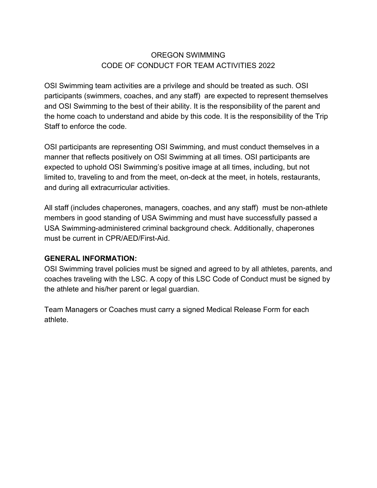# OREGON SWIMMING CODE OF CONDUCT FOR TEAM ACTIVITIES 2022

OSI Swimming team activities are a privilege and should be treated as such. OSI participants (swimmers, coaches, and any staff) are expected to represent themselves and OSI Swimming to the best of their ability. It is the responsibility of the parent and the home coach to understand and abide by this code. It is the responsibility of the Trip Staff to enforce the code.

OSI participants are representing OSI Swimming, and must conduct themselves in a manner that reflects positively on OSI Swimming at all times. OSI participants are expected to uphold OSI Swimming's positive image at all times, including, but not limited to, traveling to and from the meet, on-deck at the meet, in hotels, restaurants, and during all extracurricular activities.

All staff (includes chaperones, managers, coaches, and any staff) must be non-athlete members in good standing of USA Swimming and must have successfully passed a USA Swimming-administered criminal background check. Additionally, chaperones must be current in CPR/AED/First-Aid.

## **GENERAL INFORMATION:**

OSI Swimming travel policies must be signed and agreed to by all athletes, parents, and coaches traveling with the LSC. A copy of this LSC Code of Conduct must be signed by the athlete and his/her parent or legal guardian.

Team Managers or Coaches must carry a signed Medical Release Form for each athlete.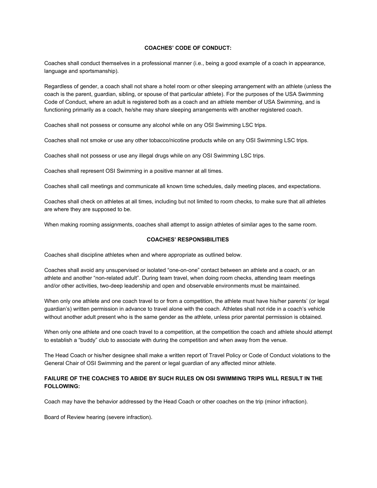#### **COACHES' CODE OF CONDUCT:**

Coaches shall conduct themselves in a professional manner (i.e., being a good example of a coach in appearance, language and sportsmanship).

Regardless of gender, a coach shall not share a hotel room or other sleeping arrangement with an athlete (unless the coach is the parent, guardian, sibling, or spouse of that particular athlete). For the purposes of the USA Swimming Code of Conduct, where an adult is registered both as a coach and an athlete member of USA Swimming, and is functioning primarily as a coach, he/she may share sleeping arrangements with another registered coach.

Coaches shall not possess or consume any alcohol while on any OSI Swimming LSC trips.

Coaches shall not smoke or use any other tobacco/nicotine products while on any OSI Swimming LSC trips.

Coaches shall not possess or use any illegal drugs while on any OSI Swimming LSC trips.

Coaches shall represent OSI Swimming in a positive manner at all times.

Coaches shall call meetings and communicate all known time schedules, daily meeting places, and expectations.

Coaches shall check on athletes at all times, including but not limited to room checks, to make sure that all athletes are where they are supposed to be.

When making rooming assignments, coaches shall attempt to assign athletes of similar ages to the same room.

#### **COACHES' RESPONSIBILITIES**

Coaches shall discipline athletes when and where appropriate as outlined below.

Coaches shall avoid any unsupervised or isolated "one-on-one" contact between an athlete and a coach, or an athlete and another "non-related adult". During team travel, when doing room checks, attending team meetings and/or other activities, two-deep leadership and open and observable environments must be maintained.

When only one athlete and one coach travel to or from a competition, the athlete must have his/her parents' (or legal guardian's) written permission in advance to travel alone with the coach. Athletes shall not ride in a coach's vehicle without another adult present who is the same gender as the athlete, unless prior parental permission is obtained.

When only one athlete and one coach travel to a competition, at the competition the coach and athlete should attempt to establish a "buddy" club to associate with during the competition and when away from the venue.

The Head Coach or his/her designee shall make a written report of Travel Policy or Code of Conduct violations to the General Chair of OSI Swimming and the parent or legal guardian of any affected minor athlete.

### **FAILURE OF THE COACHES TO ABIDE BY SUCH RULES ON OSI SWIMMING TRIPS WILL RESULT IN THE FOLLOWING:**

Coach may have the behavior addressed by the Head Coach or other coaches on the trip (minor infraction).

Board of Review hearing (severe infraction).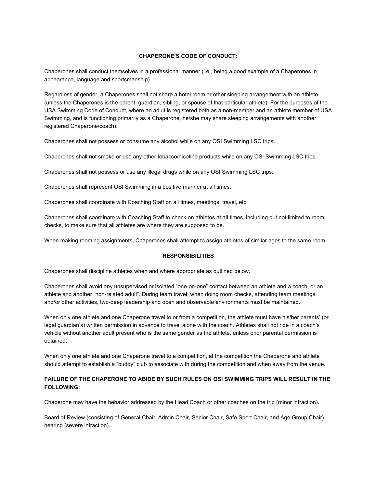#### **CHAPERONE'S CODE OF CONDUCT:**

Chaperones shall conduct themselves in a professional manner (i.e., being a good example of a Chaperones in appearance, language and sportsmanship).

Regardless of gender, a Chaperones shall not share a hotel room or other sleeping arrangement with an athlete (unless the Chaperones is the parent, guardian, sibling, or spouse of that particular athlete). For the purposes of the USA Swimming Code of Conduct, where an adult is registered both as a non-member and an athlete member of USA Swimming, and is functioning primarily as a Chaperone, he/she may share sleeping arrangements with another registered Chaperone/coach).

Chaperones shall not possess or consume any alcohol while on any OSI Swimming LSC trips.

Chaperones shall not smoke or use any other tobacco/nicotine products while on any OSI Swimming LSC trips.

Chaperones shall not possess or use any illegal drugs while on any OSI Swimming LSC trips.

Chaperones shall represent OSI Swimming in a positive manner at all times.

Chaperones shall coordinate with Coaching Staff on all times, meetings, travel, etc.

Chaperones shall coordinate with Coaching Staff to check on athletes at all times, including but not limited to room checks, to make sure that all athletes are where they are supposed to be.

When making rooming assignments, Chaperones shall attempt to assign athletes of similar ages to the same room.

#### **RESPONSIBILITIES**

Chaperones shall discipline athletes when and where appropriate as outlined below.

Chaperones shall avoid any unsupervised or isolated "one-on-one" contact between an athlete and a coach, or an athlete and another "non-related adult". During team travel, when doing room checks, attending team meetings and/or other activities, two-deep leadership and open and observable environments must be maintained.

When only one athlete and one Chaperone travel to or from a competition, the athlete must have his/her parents' (or legal guardian's) written permission in advance to travel alone with the coach. Athletes shall not ride in a coach's vehicle without another adult present who is the same gender as the athlete, unless prior parental permission is obtained.

When only one athlete and one Chaperone travel to a competition, at the competition the Chaperone and athlete should attempt to establish a "buddy" club to associate with during the competition and when away from the venue.

#### **FAILURE OF THE CHAPERONE TO ABIDE BY SUCH RULES ON OSI SWIMMING TRIPS WILL RESULT IN THE FOLLOWING:**

Chaperone may have the behavior addressed by the Head Coach or other coaches on the trip (minor infraction).

Board of Review (consisting of General Chair, Admin Chair, Senior Chair, Safe Sport Chair, and Age Group Chair) hearing (severe infraction).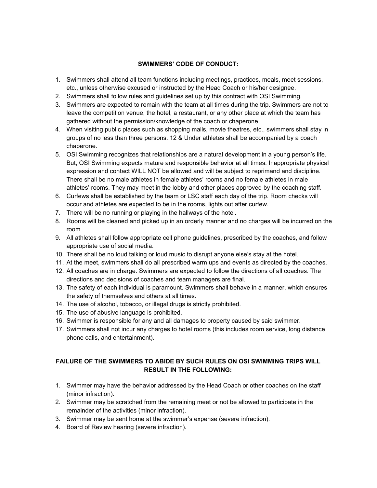### **SWIMMERS' CODE OF CONDUCT:**

- 1. Swimmers shall attend all team functions including meetings, practices, meals, meet sessions, etc., unless otherwise excused or instructed by the Head Coach or his/her designee.
- 2. Swimmers shall follow rules and guidelines set up by this contract with OSI Swimming.
- 3. Swimmers are expected to remain with the team at all times during the trip. Swimmers are not to leave the competition venue, the hotel, a restaurant, or any other place at which the team has gathered without the permission/knowledge of the coach or chaperone.
- 4. When visiting public places such as shopping malls, movie theatres, etc., swimmers shall stay in groups of no less than three persons. 12 & Under athletes shall be accompanied by a coach chaperone.
- 5. OSI Swimming recognizes that relationships are a natural development in a young person's life. But, OSI Swimming expects mature and responsible behavior at all times. Inappropriate physical expression and contact WILL NOT be allowed and will be subject to reprimand and discipline. There shall be no male athletes in female athletes' rooms and no female athletes in male athletes' rooms. They may meet in the lobby and other places approved by the coaching staff.
- 6. Curfews shall be established by the team or LSC staff each day of the trip. Room checks will occur and athletes are expected to be in the rooms, lights out after curfew.
- 7. There will be no running or playing in the hallways of the hotel.
- 8. Rooms will be cleaned and picked up in an orderly manner and no charges will be incurred on the room.
- 9. All athletes shall follow appropriate cell phone guidelines, prescribed by the coaches, and follow appropriate use of social media.
- 10. There shall be no loud talking or loud music to disrupt anyone else's stay at the hotel.
- 11. At the meet, swimmers shall do all prescribed warm ups and events as directed by the coaches.
- 12. All coaches are in charge. Swimmers are expected to follow the directions of all coaches. The directions and decisions of coaches and team managers are final.
- 13. The safety of each individual is paramount. Swimmers shall behave in a manner, which ensures the safety of themselves and others at all times.
- 14. The use of alcohol, tobacco, or illegal drugs is strictly prohibited.
- 15. The use of abusive language is prohibited.
- 16. Swimmer is responsible for any and all damages to property caused by said swimmer.
- 17. Swimmers shall not incur any charges to hotel rooms (this includes room service, long distance phone calls, and entertainment).

## **FAILURE OF THE SWIMMERS TO ABIDE BY SUCH RULES ON OSI SWIMMING TRIPS WILL RESULT IN THE FOLLOWING:**

- 1. Swimmer may have the behavior addressed by the Head Coach or other coaches on the staff (minor infraction).
- 2. Swimmer may be scratched from the remaining meet or not be allowed to participate in the remainder of the activities (minor infraction).
- 3. Swimmer may be sent home at the swimmer's expense (severe infraction).
- 4. Board of Review hearing (severe infraction).